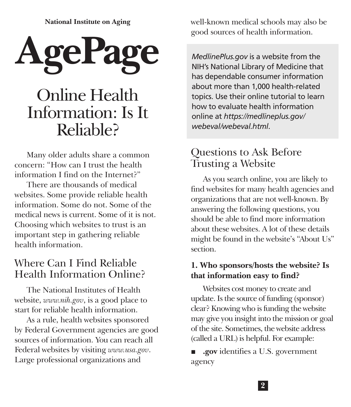**[National Institute on Aging](https://www.nia.nih.gov/)**



# Online Health [Information: Is It](https://www.nia.nih.gov/health/online-health-information-it-reliable)  Reliable?

Many older adults share a common concern: "How can I trust the health information I find on the Internet?"

There are thousands of medical websites. Some provide reliable health information. Some do not. Some of the medical news is current. Some of it is not. Choosing which websites to trust is an important step in gathering reliable health information.

## Where Can I Find Reliable Health Information Online?

The National Institutes of Health website, *[www.nih.gov](http://www.nih.gov/)*, is a good place to start for reliable health information.

As a rule, health websites sponsored by Federal Government agencies are good sources of information. You can reach all Federal websites by visiting *[www.usa.gov](http://www.usa.gov/)*. Large professional organizations and

well-known medical schools may also be good sources of health information.

*[MedlinePlus.gov](https://www.medlineplus.gov/)* is a website from the NIH's National Library of Medicine that has dependable consumer information about more than 1,000 health-related topics. Use their online tutorial to learn how to evaluate health information online at *https:*//*[medlineplus.gov](https://www.medlineplus.gov/webeval/webeval.html)*/ *webeval*/*[webeval.html](https://www.medlineplus.gov/webeval/webeval.html)*.

## Questions to Ask Before Trusting a Website

As you search online, you are likely to find websites for many health agencies and organizations that are not well-known. By answering the following questions, you should be able to find more information about these websites. A lot of these details might be found in the website's "About Us" section.

### **1. Who sponsors/hosts the website? Is that information easy to find?**

Websites cost money to create and update. Is the source of funding (sponsor) clear? Knowing who is funding the website may give you insight into the mission or goal of the site. Sometimes, the website address (called a URL) is helpful. For example:

■ **.gov** identifies a U.S. government agency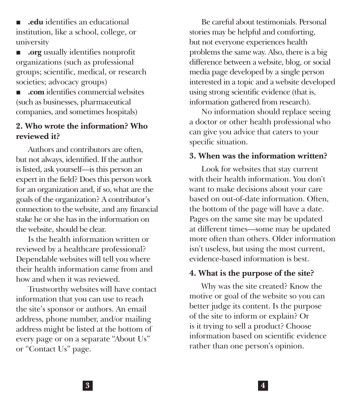**.edu** identifies an educational institution, like a school, college, or university

■ **.org** usually identifies nonprofit organizations (such as professional groups; scientific, medical, or research societies; advocacy groups)

■ **.com** identifies commercial websites (such as businesses, pharmaceutical companies, and sometimes hospitals)

### **2. Who wrote the information? Who reviewed it?**

Authors and contributors are often, but not always, identified. If the author is listed, ask yourself—is this person an expert in the field? Does this person work for an organization and, if so, what are the goals of the organization? A contributor's connection to the website, and any financial stake he or she has in the information on the website, should be clear.

Is the health information written or reviewed by a healthcare professional? Dependable websites will tell you where their health information came from and how and when it was reviewed.

Trustworthy websites will have contact information that you can use to reach the site's sponsor or authors. An email address, phone number, and/or mailing address might be listed at the bottom of every page or on a separate "About Us" or "Contact Us" page.

Be careful about testimonials. Personal stories may be helpful and comforting, but not everyone experiences health problems the same way. Also, there is a big difference between a website, blog, or social media page developed by a single person interested in a topic and a website developed using strong scientific evidence (that is, information gathered from research).

No information should replace seeing a doctor or other health professional who can give you advice that caters to your specific situation.

### **3. When was the information written?**

Look for websites that stay current with their health information. You don't want to make decisions about your care based on out-of-date information. Often, the bottom of the page will have a date. Pages on the same site may be updated at different times—some may be updated more often than others. Older information isn't useless, but using the most current, evidence-based information is best.

#### **4. What is the purpose of the site?**

Why was the site created? Know the motive or goal of the website so you can better judge its content. Is the purpose of the site to inform or explain? Or is it trying to sell a product? Choose information based on scientific evidence rather than one person's opinion.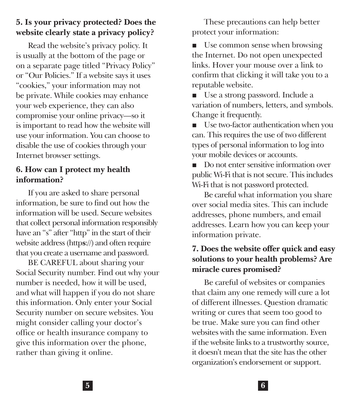### **5. Is your privacy protected? Does the website clearly state a privacy policy?**

Read the website's privacy policy. It is usually at the bottom of the page or on a separate page titled "Privacy Policy" or "Our Policies." If a website says it uses "cookies," your information may not be private. While cookies may enhance your web experience, they can also compromise your online privacy—so it is important to read how the website will use your information. You can choose to disable the use of cookies through your Internet browser settings.

### **6. How can I protect my health information?**

If you are asked to share personal information, be sure to find out how the information will be used. Secure websites that collect personal information responsibly have an "s" after "http" in the start of their website address (http**s**://) and often require that you create a username and password.

BE CAREFUL about sharing your Social Security number. Find out why your number is needed, how it will be used, and what will happen if you do not share this information. Only enter your Social Security number on secure websites. You might consider calling your doctor's office or health insurance company to give this information over the phone, rather than giving it online.

These precautions can help better protect your information:

■ Use common sense when browsing the Internet. Do not open unexpected links. Hover your mouse over a link to confirm that clicking it will take you to a reputable website.

■ Use a strong password. Include a variation of numbers, letters, and symbols. Change it frequently.

■ Use two-factor authentication when you can. This requires the use of two different types of personal information to log into your mobile devices or accounts.

Do not enter sensitive information over public Wi-Fi that is not secure. This includes Wi-Fi that is not password protected.

Be careful what information you share over social media sites. This can include addresses, phone numbers, and email addresses. Learn how you can keep your information private.

### **7. Does the website offer quick and easy solutions to your health problems? Are miracle cures promised?**

Be careful of websites or companies that claim any one remedy will cure a lot of different illnesses. Question dramatic writing or cures that seem too good to be true. Make sure you can find other websites with the same information. Even if the website links to a trustworthy source, it doesn't mean that the site has the other organization's endorsement or support.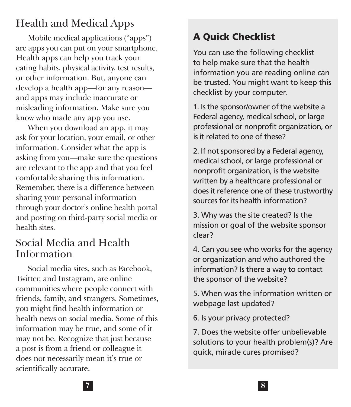# Health and Medical Apps

Mobile medical applications ("apps") are apps you can put on your smartphone. Health apps can help you track your eating habits, physical activity, test results, or other information. But, anyone can develop a health app—for any reason and apps may include inaccurate or misleading information. Make sure you know who made any app you use.

When you download an app, it may ask for your location, your email, or other information. Consider what the app is asking from you—make sure the questions are relevant to the app and that you feel comfortable sharing this information. Remember, there is a difference between sharing your personal information through your doctor's online health portal and posting on third-party social media or health sites.

# Social Media and Health Information

Social media sites, such as Facebook, Twitter, and Instagram, are online communities where people connect with friends, family, and strangers. Sometimes, you might find health information or health news on social media. Some of this information may be true, and some of it may not be. Recognize that just because a post is from a friend or colleague it does not necessarily mean it's true or scientifically accurate.

# A Quick Checklist

You can use the following checklist to help make sure that the health information you are reading online can be trusted. You might want to keep this checklist by your computer.

1. Is the sponsor/owner of the website a Federal agency, medical school, or large professional or nonprofit organization, or is it related to one of these?

2. If not sponsored by a Federal agency, medical school, or large professional or nonprofit organization, is the website written by a healthcare professional or does it reference one of these trustworthy sources for its health information?

3. Why was the site created? Is the mission or goal of the website sponsor clear?

4. Can you see who works for the agency or organization and who authored the information? Is there a way to contact the sponsor of the website?

5. When was the information written or webpage last updated?

6. Is your privacy protected?

7. Does the website offer unbelievable solutions to your health problem(s)? Are quick, miracle cures promised?